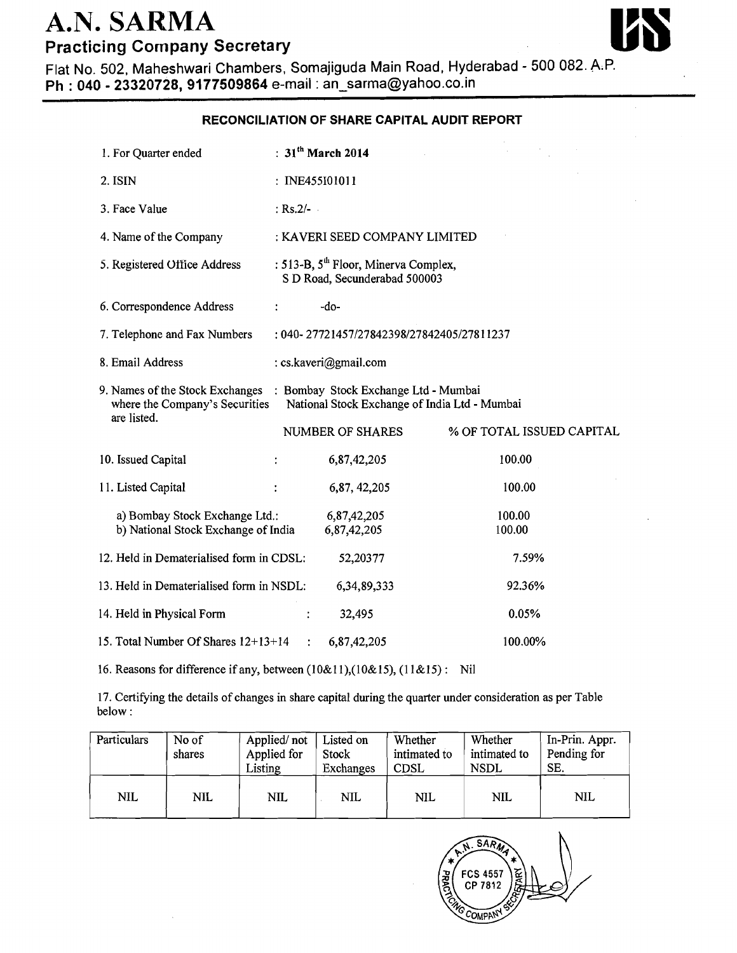## A.N. SARMA **Practicing Company Secretary**



Flat No. 502, Maheshwari Chambers, Somajiguda Main Road, Hyderabad - 500 082. **ALP. Ph** : **040** - **23320728,9177509864** e-mail : an-sarma@yahoo.co.in

## **RECONCILIATION OF SHARE CAPITAL AUDIT REPORT**

| 1. For Quarter ended                                                                                                                                                   | : $31th$ March 2014                                                               |                           |  |  |  |
|------------------------------------------------------------------------------------------------------------------------------------------------------------------------|-----------------------------------------------------------------------------------|---------------------------|--|--|--|
| 2. ISIN                                                                                                                                                                | : INE455101011                                                                    |                           |  |  |  |
| 3. Face Value                                                                                                                                                          | : $Rs.2/-$                                                                        |                           |  |  |  |
| 4. Name of the Company                                                                                                                                                 | : KAVERI SEED COMPANY LIMITED                                                     |                           |  |  |  |
| 5. Registered Office Address                                                                                                                                           | : 513-B, 5 <sup>th</sup> Floor, Minerva Complex,<br>S D Road, Secunderabad 500003 |                           |  |  |  |
| 6. Correspondence Address                                                                                                                                              | -do-<br>$\ddot{\cdot}$                                                            |                           |  |  |  |
| 7. Telephone and Fax Numbers<br>: 040-27721457/27842398/27842405/27811237                                                                                              |                                                                                   |                           |  |  |  |
| 8. Email Address                                                                                                                                                       | : cs.kaveri@gmail.com                                                             |                           |  |  |  |
| 9. Names of the Stock Exchanges : Bombay Stock Exchange Ltd - Mumbai<br>National Stock Exchange of India Ltd - Mumbai<br>where the Company's Securities<br>are listed. |                                                                                   |                           |  |  |  |
|                                                                                                                                                                        | NUMBER OF SHARES                                                                  | % OF TOTAL ISSUED CAPITAL |  |  |  |
| 10. Issued Capital                                                                                                                                                     | 6,87,42,205<br>$\ddot{\cdot}$                                                     | 100.00                    |  |  |  |
| 11. Listed Capital                                                                                                                                                     | 6,87, 42, 205                                                                     | 100.00                    |  |  |  |
| a) Bombay Stock Exchange Ltd.:<br>b) National Stock Exchange of India                                                                                                  | 6,87,42,205<br>6,87,42,205                                                        | 100.00<br>100.00          |  |  |  |
| 12. Held in Dematerialised form in CDSL:                                                                                                                               | 52,20377                                                                          | 7.59%                     |  |  |  |
| 13. Held in Dematerialised form in NSDL:                                                                                                                               | 6,34,89,333                                                                       | 92.36%                    |  |  |  |
| 14. Held in Physical Form                                                                                                                                              | 32,495<br>$\ddot{\cdot}$                                                          | 0.05%                     |  |  |  |
| 15. Total Number Of Shares 12+13+14                                                                                                                                    | 6,87,42,205                                                                       | 100.00%                   |  |  |  |

16. Reasons for difference if any, between (10&11),(10&15), (11&15): Nil

17. Certifying the details of changes in share capital during the quarter under consideration as per Table below :

| Particulars | No of<br>shares | Applied/not<br>Applied for<br>Listing | Listed on<br>Stock<br>Exchanges | Whether<br>intimated to<br><b>CDSL</b> | Whether<br>intimated to<br><b>NSDL</b> | In-Prin. Appr.<br>Pending for<br>SE. |
|-------------|-----------------|---------------------------------------|---------------------------------|----------------------------------------|----------------------------------------|--------------------------------------|
| <b>NIL</b>  | <b>NIL</b>      | <b>NIL</b>                            | <b>NIL</b>                      | <b>NIL</b>                             | <b>NIL</b>                             | <b>NIL</b>                           |